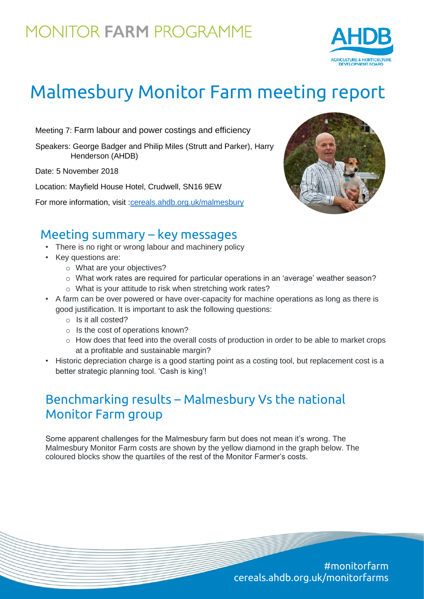## **MONITOR FARM PROGRAMME**



# Malmesbury Monitor Farm meeting report

Meeting 7: Farm labour and power costings and efficiency

Speakers: George Badger and Philip Miles (Strutt and Parker), Harry Henderson (AHDB)

Date: 5 November 2018

Location: Mayfield House Hotel, Crudwell, SN16 9EW

For more information, visit [:cereals.ahdb.org.uk/malmesbury](https://cereals.ahdb.org.uk/malmesbury)



#### Meeting summary – key messages

- There is no right or wrong labour and machinery policy
- Key questions are:
	- o What are your objectives?
	- o What work rates are required for particular operations in an 'average' weather season?
	- o What is your attitude to risk when stretching work rates?
- A farm can be over powered or have over-capacity for machine operations as long as there is good justification. It is important to ask the following questions:
	- o Is it all costed?
	- o Is the cost of operations known?
	- $\circ$  How does that feed into the overall costs of production in order to be able to market crops at a profitable and sustainable margin?
- Historic depreciation charge is a good starting point as a costing tool, but replacement cost is a better strategic planning tool. 'Cash is king'!

### Benchmarking results – Malmesbury Vs the national Monitor Farm group

Some apparent challenges for the Malmesbury farm but does not mean it's wrong. The Malmesbury Monitor Farm costs are shown by the yellow diamond in the graph below. The coloured blocks show the quartiles of the rest of the Monitor Farmer's costs.

> #monitorfarm cereals.ahdb.org.uk/monitorfarms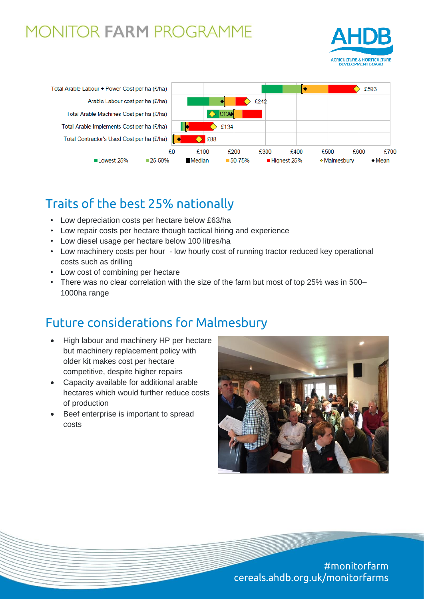### **MONITOR FARM PROGRAMME**





### Traits of the best 25% nationally

- Low depreciation costs per hectare below £63/ha
- Low repair costs per hectare though tactical hiring and experience
- Low diesel usage per hectare below 100 litres/ha
- Low machinery costs per hour low hourly cost of running tractor reduced key operational costs such as drilling
- Low cost of combining per hectare
- There was no clear correlation with the size of the farm but most of top 25% was in 500– 1000ha range

#### Future considerations for Malmesbury

- High labour and machinery HP per hectare but machinery replacement policy with older kit makes cost per hectare competitive, despite higher repairs
- Capacity available for additional arable hectares which would further reduce costs of production
- Beef enterprise is important to spread costs



#monitorfarm cereals.ahdb.org.uk/monitorfarms